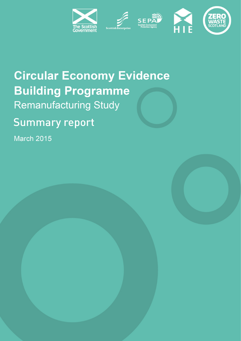

# **Circular Economy Evidence Building Programme Remanufacturing Study**

## **Summary report**

**March 2015**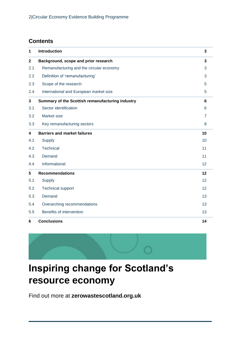## **Contents**

| 1            | <b>Introduction</b>                              | $\mathbf{3}$   |
|--------------|--------------------------------------------------|----------------|
| $\mathbf{2}$ | Background, scope and prior research             | $\overline{3}$ |
| 2.1          | Remanufacturing and the circular economy         | 3              |
| 2.2          | Definition of 'remanufacturing'                  | 3              |
| 2.3          | Scope of the research                            | 5              |
| 2.4          | International and European market size           | 5              |
| $\mathbf{3}$ | Summary of the Scottish remanufacturing industry | 6              |
| 3.1          | Sector identification                            | 6              |
| 3.2          | Market size                                      | $\overline{7}$ |
| 3.3          | Key remanufacturing sectors                      | 8              |
| 4            | <b>Barriers and market failures</b>              | 10             |
| 4.1          | <b>Supply</b>                                    | 10             |
| 4.2          | <b>Technical</b>                                 | 11             |
| 4.3          | Demand                                           | 11             |
| 4.4          | Informational                                    | 12             |
| 5            | <b>Recommendations</b>                           | 12             |
| 5.1          | Supply                                           | 12             |
| 5.2          | <b>Technical support</b>                         | 12             |
| 5.3          | Demand                                           | 13             |
| 5.4          | Overarching recommendations                      | 13             |
| 5.5          | Benefits of intervention                         | 13             |
| 6            | <b>Conclusions</b>                               | 14             |



## **Inspiring change for Scotland's resource economy**

Find out more at **[zerowastescotland.org.uk](http://www.zerowastescotland.org.uk/)**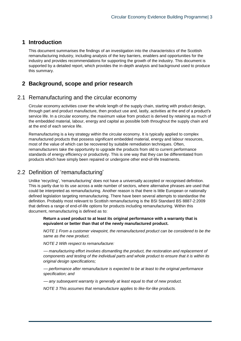## **1 Introduction**

This document summarises the findings of an investigation into the characteristics of the Scottish remanufacturing industry, including analysis of the key barriers, enablers and opportunities for the industry and provides recommendations for supporting the growth of the industry. This document is supported by a detailed report, which provides the in-depth analysis and background used to produce this summary.

## **2 Background, scope and prior research**

## 2.1 Remanufacturing and the circular economy

Circular economy activities cover the whole length of the supply chain, starting with product design, through part and product manufacture, then product use and, lastly, activities at the end of a product's service life. In a circular economy, the maximum value from product is derived by retaining as much of the embedded material, labour, energy and capital as possible both throughout the supply chain and at the end of each service life.

Remanufacturing is a key strategy within the circular economy. It is typically applied to complex manufactured products that possess significant embedded material, energy and labour resources, most of the value of which can be recovered by suitable remediation techniques. Often, remanufacturers take the opportunity to upgrade the products from old to current performance standards of energy efficiency or productivity. This is one way that they can be differentiated from products which have simply been repaired or undergone other end-of-life treatments.

## 2.2 Definition of 'remanufacturing'

Unlike 'recycling', 'remanufacturing' does not have a universally accepted or recognised definition. This is partly due to its use across a wide number of sectors, where alternative phrases are used that could be interpreted as remanufacturing. Another reason is that there is little European or nationally defined legislation targeting remanufacturing. There have been several attempts to standardise the definition. Probably most relevant to Scottish remanufacturing is the BSI Standard BS 8887-2:2009 that defines a range of end-of-life options for products including remanufacturing. Within this document, remanufacturing is defined as to:

**Return a used product to at least its original performance with a warranty that is equivalent or better than that of the newly manufactured product.**

*NOTE 1 From a customer viewpoint, the remanufactured product can be considered to be the same as the new product.*

*NOTE 2 With respect to remanufacture:*

*–– manufacturing effort involves dismantling the product, the restoration and replacement of components and testing of the individual parts and whole product to ensure that it is within its original design specifications;*

*–– performance after remanufacture is expected to be at least to the original performance specification; and*

*–– any subsequent warranty is generally at least equal to that of new product.*

*NOTE 3 This assumes that remanufacture applies to like-for-like products.*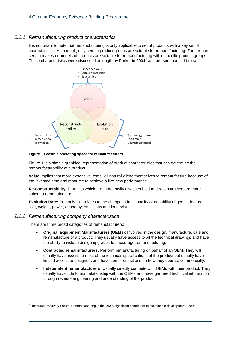#### *2.2.1 Remanufacturing product characteristics*

It is important to note that remanufacturing is only applicable to set of products with a key set of characteristics. As a result, only certain product groups are suitable for remanufacturing. Furthermore, certain makes or models of products are suitable for remanufacturing within specific product groups. These characteristics were discussed at length by Parker in 2004<sup>1</sup> and are summarised below.



<span id="page-3-0"></span>**Figure 1 Feasible operating space for remanufacturers**

[Figure 1](#page-3-0) is a simple graphical representation of product characteristics that can determine the remanufacturability of a product.

**Value** implies that more expensive items will naturally lend themselves to remanufacture because of the invested time and resource to achieve a like-new performance.

**Re-constructability:** Products which are more easily disassembled and reconstructed are more suited to remanufacture.

**Evolution Rate:** Primarily this relates to the change in functionality or capability of goods, features, size, weight, power, economy, emissions and longevity.

#### *2.2.2 Remanufacturing company characteristics*

l

There are three broad categories of remanufacturers:

- **Original Equipment Manufacturers (OEMs)**: Involved in the design, manufacture, sale and remanufacture of a product. They usually have access to all the technical drawings and have the ability to include design upgrades to encourage remanufacturing.
- **Contracted remanufacturers:** Perform remanufacturing on behalf of an OEM. They will usually have access to most of the technical specifications of the product but usually have limited access to designers and have some restrictions on how they operate commercially.
- **Independent remanufacturers**: Usually directly compete with OEMs with their product. They usually have little formal relationship with the OEMs and have garnered technical information through reverse engineering and understanding of the product.

<sup>&</sup>lt;sup>1</sup> Resource Recovery Forum, Remanufacturing in the UK: a significant contributor to sustainable development? 2004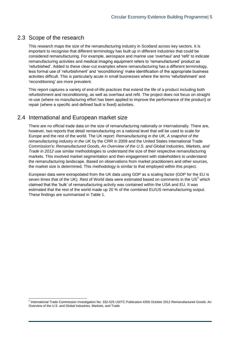## 2.3 Scope of the research

This research maps the size of the remanufacturing industry in Scotland across key sectors. It is important to recognise that different terminology has built up in different industries that could be considered remanufacturing. For example, aerospace and marine use 'overhaul' and 'refit' to indicate remanufacturing activities and medical imaging equipment refers to 'remanufactured' product as 'refurbished'. Added to these clear-cut examples where remanufacturing has a different terminology, less formal use of 'refurbishment' and 'reconditioning' make identification of the appropriate business activities difficult. This is particularly acute in small businesses where the terms 'refurbishment' and 'reconditioning' are more prevalent.

This report captures a variety of end-of-life practices that extend the life of a product including both refurbishment and reconditioning, as well as overhaul and refit. The project does not focus on straight re-use (where no manufacturing effort has been applied to improve the performance of the product) or repair (where a specific and defined fault is fixed) activities.

## 2.4 International and European market size

There are no official trade data on the size of remanufacturing nationally or internationally. There are, however, two reports that detail remanufacturing on a national level that will be used to scale for Europe and the rest of the world. The UK report: *Remanufacturing in the UK, A snapshot of the remanufacturing industry in the UK* by the CRR in 2009 and the United States International Trade Commission's: *Remanufactured Goods, An Overview of the U.S. and Global Industries, Markets, and Trade in 2012* use similar methodologies to understand the size of their respective remanufacturing markets. This involved market segmentation and then engagement with stakeholders to understand the remanufacturing landscape. Based on observations from market practitioners and other sources, the market size is determined. This methodology is similar to that employed within this project.

European data were extrapolated from the UK data using GDP as a scaling factor (GDP for the EU is seven times that of the UK). Rest of World data were estimated based on comments in the US<sup>2</sup> which claimed that the 'bulk' of remanufacturing activity was contained within the USA and EU. It was estimated that the rest of the world made up 20 % of the combined EU/US remanufacturing output. These findings are summarised in [Table 1.](#page-5-0)

 2 International Trade Commission Investigation No. 332-525 USITC Publication 4356 October 2012 Remanufactured Goods: An Overview of the U.S. and Global Industries, Markets, and Trade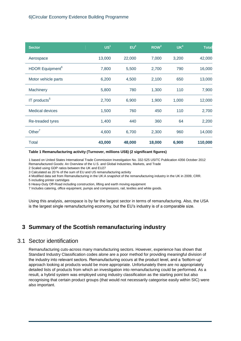| <b>Sector</b>               | US <sup>1</sup> | EU <sup>2</sup> | ROW <sup>3</sup> | UK <sup>4</sup> | <b>Total</b> |
|-----------------------------|-----------------|-----------------|------------------|-----------------|--------------|
| Aerospace                   | 13,000          | 22,000          | 7,000            | 3,200           | 42,000       |
| HDOR Equipment <sup>6</sup> | 7,800           | 5,500           | 2,700            | 790             | 16,000       |
| Motor vehicle parts         | 6,200           | 4,500           | 2,100            | 650             | 13,000       |
| Machinery                   | 5,800           | 780             | 1,300            | 110             | 7,900        |
| IT products <sup>5</sup>    | 2,700           | 6,900           | 1,900            | 1,000           | 12,000       |
| <b>Medical devices</b>      | 1,500           | 760             | 450              | 110             | 2,700        |
| Re-treaded tyres            | 1,400           | 440             | 360              | 64              | 2,200        |
| Other <sup>7</sup>          | 4,600           | 6,700           | 2,300            | 960             | 14,000       |
| <b>Total</b>                | 43,000          | 48,000          | 18,000           | 6,900           | 110,000      |

#### <span id="page-5-0"></span>**Table 1 Remanufacturing activity (Turnover, millions US\$) (2 significant figures)**

1 based on United States International Trade Commission Investigation No. 332-525 USITC Publication 4356 October 2012 Remanufactured Goods: An Overview of the U.S. and Global Industries, Markets, and Trade

2 Scaled using GDP ratios between the UK and EU27

3 Calculated as 20 % of the sum of EU and US remanufacturing activity

4 Modified data set from Remanufacturing in the UK:A snapshot of the remanufacturing industry in the UK in 2009, CRR.

5 including printer cartridges

6 Heavy-Duty Off-Road including construction, lifting and earth moving equipment

7 Includes catering, office equipment, pumps and compressors, rail, textiles and white goods.

Using this analysis, aerospace is by far the largest sector in terms of remanufacturing. Also, the USA is the largest single remanufacturing economy, but the EU's industry is of a comparable size.

## **3 Summary of the Scottish remanufacturing industry**

## 3.1 Sector identification

Remanufacturing cuts-across many manufacturing sectors. However, experience has shown that Standard Industry Classification codes alone are a poor method for providing meaningful division of the industry into relevant sectors. Remanufacturing occurs at the product level, and a 'bottom-up' approach looking at products would be more appropriate. Unfortunately there are no appropriately detailed lists of products from which an investigation into remanufacturing could be performed. As a result, a hybrid system was employed using industry classification as the starting point but also recognising that certain product groups (that would not necessarily categorise easily within SIC) were also important.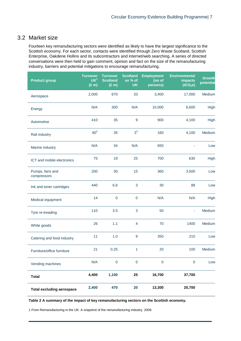## 3.2 Market size

Fourteen key remanufacturing sectors were identified as likely to have the largest significance to the Scottish economy. For each sector, contacts were identified through Zero Waste Scotland, Scottish Enterprise, Oakdene Hollins and its subcontractors and internet/web searching. A series of directed conversations were then held to gain comment, opinion and fact on the size of the remanufacturing industry, barriers and potential mitigations to encourage remanufacturing.

| <b>Product group</b>             | <b>Turnover</b><br>UK <sup>1</sup><br>$(E \overline{m})$ | <b>Turnover</b><br><b>Scotland</b><br>$(E \, m)$ | <b>Scotland</b><br>as % of<br><b>UK</b> | <b>Employment</b><br>(no of<br>persons) | <b>Environmental</b><br>impacts<br>(tCO <sub>2</sub> e) | <b>Growth</b><br>potential |
|----------------------------------|----------------------------------------------------------|--------------------------------------------------|-----------------------------------------|-----------------------------------------|---------------------------------------------------------|----------------------------|
| Aerospace                        | 2,000                                                    | 670                                              | 33                                      | 3,400                                   | 17,000                                                  | Medium                     |
| Energy                           | N/A                                                      | 300                                              | N/A                                     | 10,000                                  | 6,600                                                   | High                       |
| Automotive                       | 410                                                      | 35                                               | 9                                       | 900                                     | 4,100                                                   | High                       |
| Rail industry                    | 80 <sup>2</sup>                                          | 35                                               | $3^3$                                   | 160                                     | 4,100                                                   | Medium                     |
| Marine industry                  | N/A                                                      | 34                                               | N/A                                     | 650                                     |                                                         | Low                        |
| ICT and mobile electronics       | 75                                                       | 19                                               | 25                                      | 700                                     | 630                                                     | High                       |
| Pumps, fans and<br>compressors   | 200                                                      | 30                                               | 15                                      | 360                                     | 3,500                                                   | Low                        |
| Ink and toner cartridges         | 440                                                      | 6.6                                              | 3                                       | 30                                      | 88                                                      | Low                        |
| Medical equipment                | 14                                                       | $\mathbf 0$                                      | $\pmb{0}$                               | N/A                                     | N/A                                                     | High                       |
| Tyre re-treading                 | 110                                                      | 3.5                                              | 3                                       | 50                                      | ä,                                                      | Medium                     |
| White goods                      | 26                                                       | 1.1                                              | $\overline{4}$                          | 70                                      | 1400                                                    | Medium                     |
| Catering and food industry       | 11                                                       | 1.0                                              | $\boldsymbol{9}$                        | 350                                     | 210                                                     | Low                        |
| Furniture/office furniture       | 21                                                       | 0.25                                             | 1                                       | 20                                      | 100                                                     | Medium                     |
| Vending machines                 | N/A                                                      | $\mathbf 0$                                      | $\pmb{0}$                               | $\pmb{0}$                               | $\mathbf 0$                                             | Low                        |
| <b>Total</b>                     | 4,400                                                    | 1,100                                            | 25                                      | 16,700                                  | 37,700                                                  |                            |
| <b>Total excluding aerospace</b> | 2,400                                                    | 470                                              | 20                                      | 13,300                                  | 20,700                                                  |                            |

<span id="page-6-0"></span>**Table 2 A summary of the impact of key remanufacturing sectors on the Scottish economy.**

1 From Remanufacturing in the UK: A snapshot of the remanufacturing industry, 2009.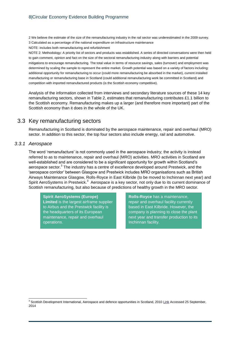2 We believe the estimate of the size of the remanufacturing industry in the rail sector was underestimated in the 2009 survey. 3 Calculated as a percentage of the national expenditure on infrastructure maintenance

NOTE: includes both remanufacturing and refurbishment

NOTE 2: Methodology: A priority list of sectors and products was established. A series of directed conversations were then held to gain comment, opinion and fact on the size of the sectoral remanufacturing industry along with barriers and potential mitigations to encourage remanufacturing. The total value in terms of resource savings, sales (turnover) and employment was determined by scaling the sample to represent the entire market. Growth potential was based on a variety of factors including: additional opportunity for remanufacturing to occur (could more remanufacturing be absorbed in the market), current installed manufacturing or remanufacturing base in Scotland (could additional remanufacturing work be committed in Scotland) and competition with imported remanufactured products (is the Scottish economy competitive).

Analysis of the information collected from interviews and secondary literature sources of these 14 key remanufacturing sectors, shown in [Table 2,](#page-6-0) estimates that remanufacturing contributes £1.1 billion to the Scottish economy. Remanufacturing makes up a larger (and therefore more important) part of the Scottish economy than it does in the whole of the UK.

## 3.3 Key remanufacturing sectors

Remanufacturing in Scotland is dominated by the aerospace maintenance, repair and overhaul (MRO) sector. In addition to this sector, the top four sectors also include energy, rail and automotive.

#### *3.3.1 Aerospace*

<span id="page-7-0"></span>The word 'remanufacture' is not commonly used in the aerospace industry; the activity is instead referred to as to maintenance, repair and overhaul (MRO) activities. MRO activities in Scotland are well-established and are considered to be a significant opportunity for growth within Scotland's aerospace sector.<sup>3</sup> The industry has a centre of excellence developed around Prestwick, and the 'aerospace corridor' between Glasgow and Prestwick includes MRO organisations such as British Airways Maintenance Glasgow, Rolls-Royce in East Kilbride (to be moved to Inchinnan next year) and SpiritAeroSystems in Prestwick.<sup>3</sup> Aerospace is a key sector, not only due to its current dominance of Scottish remanufacturing, but also because of predictions of healthy growth in the MRO sector.

**Spirit AeroSystems (Europe) Limited** is the largest airframe supplier to Airbus and the Prestwick facility is the headquarters of its European maintenance, repair and overhaul operations.

**Rolls-Royce** has a maintenance, repair and overhaul facility currently based in East Kilbride. However, the company is planning to close the plant next year and transfer production to its Inchinnan facility.

l  $3$  Scottish Development International, Aerospace and defence opportunities in Scotland, 2010 [Link](http://www.sdi.co.uk/~/media/SDI/Files/documents/aerospace-defence-and-marine/aerospace-and-defence-opportunities-in-scotland-brochure) Accessed 25 September, 2014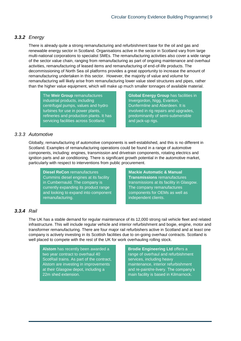## *3.3.2 Energy*

There is already quite a strong remanufacturing and refurbishment base for the oil and gas and renewable energy sector in Scotland. Organisations active in the sector in Scotland vary from large multi-national corporations to specialist SMEs. The remanufacturing activities also cover a wide range of the sector value chain, ranging from remanufacturing as part of ongoing maintenance and overhaul activities, remanufacturing of leased items and remanufacturing of end-of-life products. The decommissioning of North Sea oil platforms provides a great opportunity to increase the amount of remanufacturing undertaken in this sector. However, the majority of value and volume for remanufacturing will likely arise from remanufacturing lower value steel structures and pipes, rather than the higher value equipment, which will make up much smaller tonnages of available material.

The **Weir Group** remanufactures industrial products, including centrifugal pumps, values and hydro turbines for use in power plants, refineries and production plants. It has servicing facilities across Scotland.

**Global Energy Group** has facilities in Invergordon, Nigg, Evanton, Dunfermline and Aberdeen. It is involved in rig repairs and upgrades, predominantly of semi-submersible and jack-up rigs.

#### *3.3.3 Automotive*

Globally, remanufacturing of automotive components is well-established, and this is no different in Scotland. Examples of remanufacturing operations could be found in a range of automotive components, including: engines, transmission and drivetrain components, rotating electrics and ignition parts and air conditioning. There is significant growth potential in the automotive market, particularly with respect to interventions from public procurement.

**Diesel ReCon** remanufactures Cummins diesel engines at its facility in Cumbernauld. The company is currently expanding its product range and looking to expand into component remanufacturing.

**Mackie Automatic & Manual Transmissions** remanufactures transmissions at its facility in Glasgow. The company remanufactures components for OEMs as well as independent clients.

## *3.3.4 Rail*

The UK has a stable demand for regular maintenance of its 12,000 strong rail vehicle fleet and related infrastructure. This will include regular vehicle and interior refurbishment and bogie, engine, motor and transformer remanufacturing. There are four major rail refurbishers active in Scotland and at least one company is actively investing in its Scottish facilities due to on-going overhaul contracts. Scotland is well placed to compete with the rest of the UK for work overhauling rolling stock.

**Alstom** has recently been awarded a two year contract to overhaul 40 ScotRail trains. As part of the contract, Alstom are investing in improvements at their Glasgow depot, including a 22m shed extension.

**Brodie Engineering Ltd** offers a range of overhaul and refurbishment services, including heavy maintenance, interior refurbishment and re-paint/re-livery. The company's main facility is based in Kilmarnock.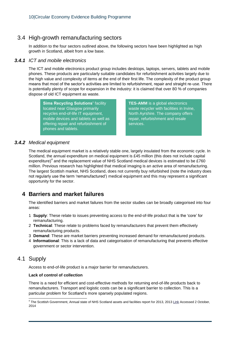## 3.4 High-growth remanufacturing sectors

In addition to the four sectors outlined above, the following sectors have been highlighted as high growth in Scotland, albeit from a low base.

#### *3.4.1 ICT and mobile electronics*

The ICT and mobile electronics product group includes desktops, laptops, servers, tablets and mobile phones. These products are particularly suitable candidates for refurbishment activities largely due to the high value and complexity of items at the end of their first life. The complexity of the product group means that most of the sector's activities are limited to refurbishment, repair and straight re-use. There is potentially plenty of scope for expansion in the industry: it is claimed that over 80 % of companies dispose of old ICT equipment as waste.

**Sims Recycling Solutions' facility** located near Glasgow primarily recycles end-of-life IT equipment, mobile devices and tablets as well as offering repair and refurbishment of phones and tablets.

**TES-AMM** is a global electronics waste recycler with facilities in Irvine, North Ayrshire. The company offers repair, refurbishment and resale services.

## *3.4.2 Medical equipment*

The medical equipment market is a relatively stable one, largely insulated from the economic cycle. In Scotland, the annual expenditure on medical equipment is £45 million (this does not include capital expenditure)<sup>4</sup> and the replacement value of NHS Scotland medical devices is estimated to be £760 million. Previous research has highlighted that medical imaging is an active area of remanufacturing. The largest Scottish market, NHS Scotland, does not currently buy refurbished (note the industry does not regularly use the term 'remanufactured') medical equipment and this may represent a significant opportunity for the sector.

## **4 Barriers and market failures**

The identified barriers and market failures from the sector studies can be broadly categorised into four areas:

- 1 **Supply**: These relate to issues preventing access to the end-of-life product that is the 'core' for remanufacturing.
- 2 **Technical**: These relate to problems faced by remanufacturers that prevent them effectively remanufacturing products.
- 3 **Demand**: These are market barriers preventing increased demand for remanufactured products.
- 4 **Informational**: This is a lack of data and categorisation of remanufacturing that prevents effective government or sector intervention.

## 4.1 Supply

Access to end-of-life product is a major barrier for remanufacturers.

#### **Lack of control of collection**

There is a need for efficient and cost-effective methods for returning end-of-life products back to remanufacturers. Transport and logistic costs can be a significant barrier to collection. This is a particular problem for Scotland's more sparsely populated regions.

 4 The Scottish Government, Annual state of NHS Scotland assets and facilities report for 2013, 201[3 Link](http://www.scotland.gov.uk/Resource/0044/00443826.pdf) Accessed 2 October, 2014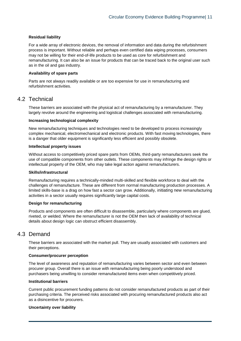#### **Residual liability**

For a wide array of electronic devices, the removal of information and data during the refurbishment process is important. Without reliable and perhaps even certified data wiping processes, consumers may not be willing for their end-of-life products to be used as core for refurbishment and remanufacturing. It can also be an issue for products that can be traced back to the original user such as in the oil and gas industry.

#### **Availability of spare parts**

Parts are not always readily available or are too expensive for use in remanufacturing and refurbishment activities.

## 4.2 Technical

These barriers are associated with the physical act of remanufacturing by a remanufacturer. They largely revolve around the engineering and logistical challenges associated with remanufacturing.

#### **Increasing technological complexity**

New remanufacturing techniques and technologies need to be developed to process increasingly complex mechanical, electromechanical and electronic products. With fast moving technologies, there is a danger that older equipment is significantly less efficient and possibly obsolete.

#### **Intellectual property issues**

Without access to competitively priced spare parts from OEMs, third-party remanufacturers seek the use of compatible components from other outlets. These components may infringe the design rights or intellectual property of the OEM, who may take legal action against remanufacturers.

#### **Skills/infrastructural**

Remanufacturing requires a technically-minded multi-skilled and flexible workforce to deal with the challenges of remanufacture. These are different from normal manufacturing production processes. A limited skills-base is a drag on how fast a sector can grow. Additionally, initiating new remanufacturing activities in a sector usually requires significantly large capital costs.

#### **Design for remanufacturing**

Products and components are often difficult to disassemble, particularly where components are glued, riveted, or welded. Where the remanufacturer is not the OEM then lack of availability of technical details about design logic can obstruct efficient disassembly.

## 4.3 Demand

These barriers are associated with the market pull. They are usually associated with customers and their perceptions.

#### **Consumer/procurer perception**

The level of awareness and reputation of remanufacturing varies between sector and even between procurer group. Overall there is an issue with remanufacturing being poorly understood and purchasers being unwilling to consider remanufactured items even when competitively priced.

#### **Institutional barriers**

Current public procurement funding patterns do not consider remanufactured products as part of their purchasing criteria. The perceived risks associated with procuring remanufactured products also act as a disincentive for procurers.

#### **Uncertainty over liability**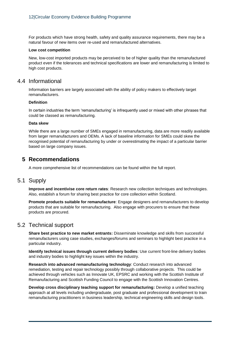For products which have strong health, safety and quality assurance requirements, there may be a natural favour of new items over re-used and remanufactured alternatives.

#### **Low cost competition**

New, low-cost imported products may be perceived to be of higher quality than the remanufactured product even if the tolerances and technical specifications are lower and remanufacturing is limited to high cost products.

## 4.4 Informational

Information barriers are largely associated with the ability of policy makers to effectively target remanufacturers.

#### **Definition**

In certain industries the term 'remanufacturing' is infrequently used or mixed with other phrases that could be classed as remanufacturing.

#### **Data skew**

While there are a large number of SMEs engaged in remanufacturing, data are more readily available from larger remanufacturers and OEMs. A lack of baseline information for SMEs could skew the recognised potential of remanufacturing by under or overestimating the impact of a particular barrier based on large company issues.

## **5 Recommendations**

A more comprehensive list of recommendations can be found within the full report.

### 5.1 Supply

**Improve and incentivise core return rates**: Research new collection techniques and technologies. Also, establish a forum for sharing best practice for core collection within Scotland.

**Promote products suitable for remanufacture**: Engage designers and remanufacturers to develop products that are suitable for remanufacturing. Also engage with procurers to ensure that these products are procured.

## 5.2 Technical support

**Share best practice to new market entrants:** Disseminate knowledge and skills from successful remanufacturers using case studies, exchanges/forums and seminars to highlight best practice in a particular industry.

**Identify technical issues through current delivery bodies**: Use current front-line delivery bodies and industry bodies to highlight key issues within the industry.

**Research into advanced remanufacturing technology**: Conduct research into advanced remediation, testing and repair technology possibly through collaborative projects. This could be achieved through vehicles such as Innovate UK, EPSRC and working with the Scottish Institute of Remanufacturing and Scottish Funding Council to engage with the Scottish Innovation Centres.

**Develop cross disciplinary teaching support for remanufacturing:** Develop a unified teaching approach at all levels including undergraduate, post graduate and professional development to train remanufacturing practitioners in business leadership, technical engineering skills and design tools.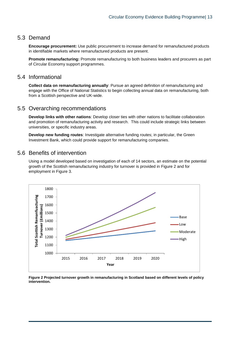## 5.3 Demand

**Encourage procurement:** Use public procurement to increase demand for remanufactured products in identifiable markets where remanufactured products are present.

**Promote remanufacturing:** Promote remanufacturing to both business leaders and procurers as part of Circular Economy support programmes.

## 5.4 Informational

**Collect data on remanufacturing annually**: Pursue an agreed definition of remanufacturing and engage with the Office of National Statistics to begin collecting annual data on remanufacturing, both from a Scottish perspective and UK-wide.

## 5.5 Overarching recommendations

**Develop links with other nations**: Develop closer ties with other nations to facilitate collaboration and promotion of remanufacturing activity and research. This could include strategic links between universities, or specific industry areas.

**Develop new funding routes**: Investigate alternative funding routes; in particular, the Green Investment Bank, which could provide support for remanufacturing companies.

## 5.6 Benefits of intervention

Using a model developed based on investigation of each of 14 sectors, an estimate on the potential growth of the Scottish remanufacturing industry for turnover is provided in [Figure 2](#page-12-0) and for employment in [Figure 3.](#page-13-0)



<span id="page-12-0"></span>**Figure 2 Projected turnover growth in remanufacturing in Scotland based on different levels of policy intervention.**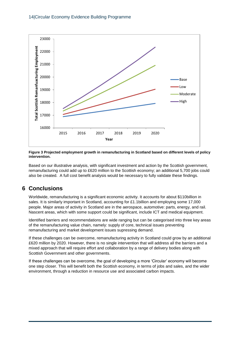

<span id="page-13-0"></span>**Figure 3 Projected employment growth in remanufacturing in Scotland based on different levels of policy intervention.**

Based on our illustrative analysis, with significant investment and action by the Scottish government, remanufacturing could add up to £620 million to the Scottish economy; an additional 5,700 jobs could also be created. A full cost benefit analysis would be necessary to fully validate these findings.

## **6 Conclusions**

Worldwide, remanufacturing is a significant economic activity. It accounts for about \$110billion in sales. It is similarly important in Scotland, accounting for £1.1billion and employing some 17,000 people. Major areas of activity in Scotland are in the aerospace, automotive: parts, energy, and rail. Nascent areas, which with some support could be significant, include ICT and medical equipment.

Identified barriers and recommendations are wide ranging but can be categorised into three key areas of the remanufacturing value chain, namely: supply of core, technical issues preventing remanufacturing and market development issues supressing demand.

If these challenges can be overcome, remanufacturing activity in Scotland could grow by an additional £620 million by 2020. However, there is no single intervention that will address all the barriers and a mixed approach that will require effort and collaboration by a range of delivery bodies along with Scottish Government and other governments.

If these challenges can be overcome, the goal of developing a more 'Circular' economy will become one step closer. This will benefit both the Scottish economy, in terms of jobs and sales, and the wider environment, through a reduction in resource use and associated carbon impacts.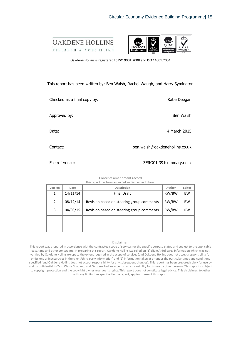



Oakdene Hollins is registered to ISO 9001:2008 and ISO 14001:2004

#### This report has been written by: Ben Walsh, Rachel Waugh, and Harry Symington

Checked as a final copy by: Katie Deegan Approved by: Ben Walsh Date: 4 March 2015

Contact: ben.walsh@oakdenehollins.co.uk

File reference: ZERO01 391summary.docx

Contents amendment record This report has been amended and issued as follows:

| Version | Date     | Description                               | Author | Editor    |
|---------|----------|-------------------------------------------|--------|-----------|
| 1       | 14/11/14 | <b>Final Draft</b>                        | RW/BW  | <b>BW</b> |
| 2       | 08/12/14 | Revision based on steering group comments | RW/BW  | <b>BW</b> |
| 3       | 04/03/15 | Revision based on steering group comments | RW/BW  | <b>RW</b> |
|         |          |                                           |        |           |
|         |          |                                           |        |           |

#### Disclaimer:

This report was prepared in accordance with the contracted scope of services for the specific purpose stated and subject to the applicable cost, time and other constraints. In preparing this report, Oakdene Hollins Ltd relied on (1) client/third party information which was not verified by Oakdene Hollins except to the extent required in the scope of services (and Oakdene Hollins does not accept responsibility for omissions or inaccuracies in the client/third party information) and (2) information taken at or under the particular times and conditions specified (and Oakdene Hollins does not accept responsibility for any subsequent changes). This report has been prepared solely for use by and is confidential to Zero Waste Scotland, and Oakdene Hollins accepts no responsibility for its use by other persons. This report is subject to copyright protection and the copyright owner reserves its rights. This report does not constitute legal advice. This disclaimer, together with any limitations specified in the report, applies to use of this report.